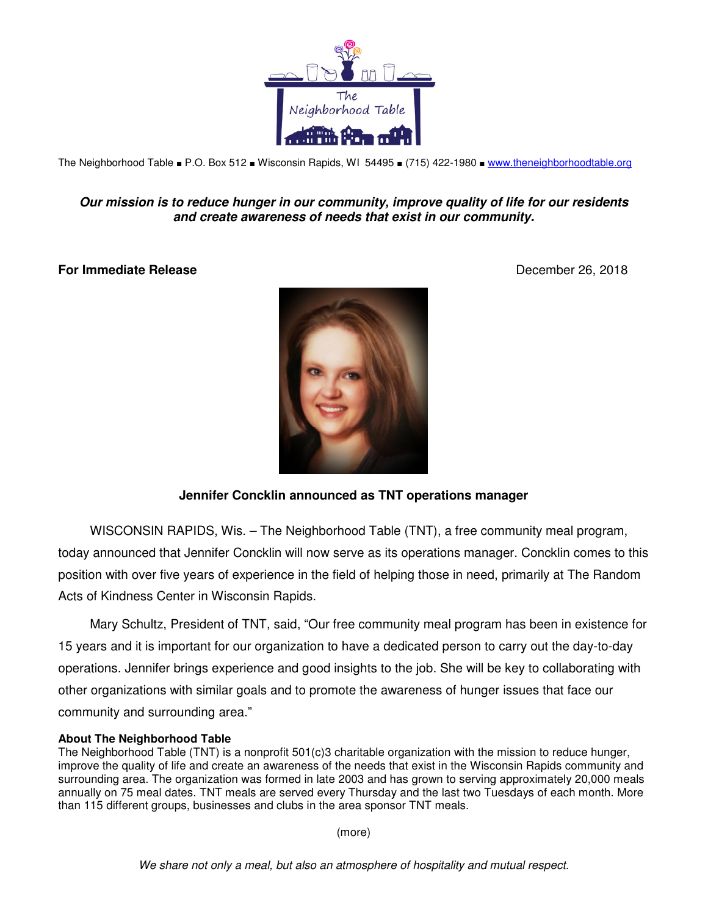

The Neighborhood Table ■ P.O. Box 512 ■ Wisconsin Rapids, WI 54495 ■ (715) 422-1980 ■ www.theneighborhoodtable.org

## **Our mission is to reduce hunger in our community, improve quality of life for our residents and create awareness of needs that exist in our community.**

## **For Immediate Release** December 26, 2018



## **Jennifer Concklin announced as TNT operations manager**

WISCONSIN RAPIDS, Wis. – The Neighborhood Table (TNT), a free community meal program, today announced that Jennifer Concklin will now serve as its operations manager. Concklin comes to this position with over five years of experience in the field of helping those in need, primarily at The Random Acts of Kindness Center in Wisconsin Rapids.

Mary Schultz, President of TNT, said, "Our free community meal program has been in existence for 15 years and it is important for our organization to have a dedicated person to carry out the day-to-day operations. Jennifer brings experience and good insights to the job. She will be key to collaborating with other organizations with similar goals and to promote the awareness of hunger issues that face our community and surrounding area."

## **About The Neighborhood Table**

The Neighborhood Table (TNT) is a nonprofit 501(c)3 charitable organization with the mission to reduce hunger, improve the quality of life and create an awareness of the needs that exist in the Wisconsin Rapids community and surrounding area. The organization was formed in late 2003 and has grown to serving approximately 20,000 meals annually on 75 meal dates. TNT meals are served every Thursday and the last two Tuesdays of each month. More than 115 different groups, businesses and clubs in the area sponsor TNT meals.

(more)